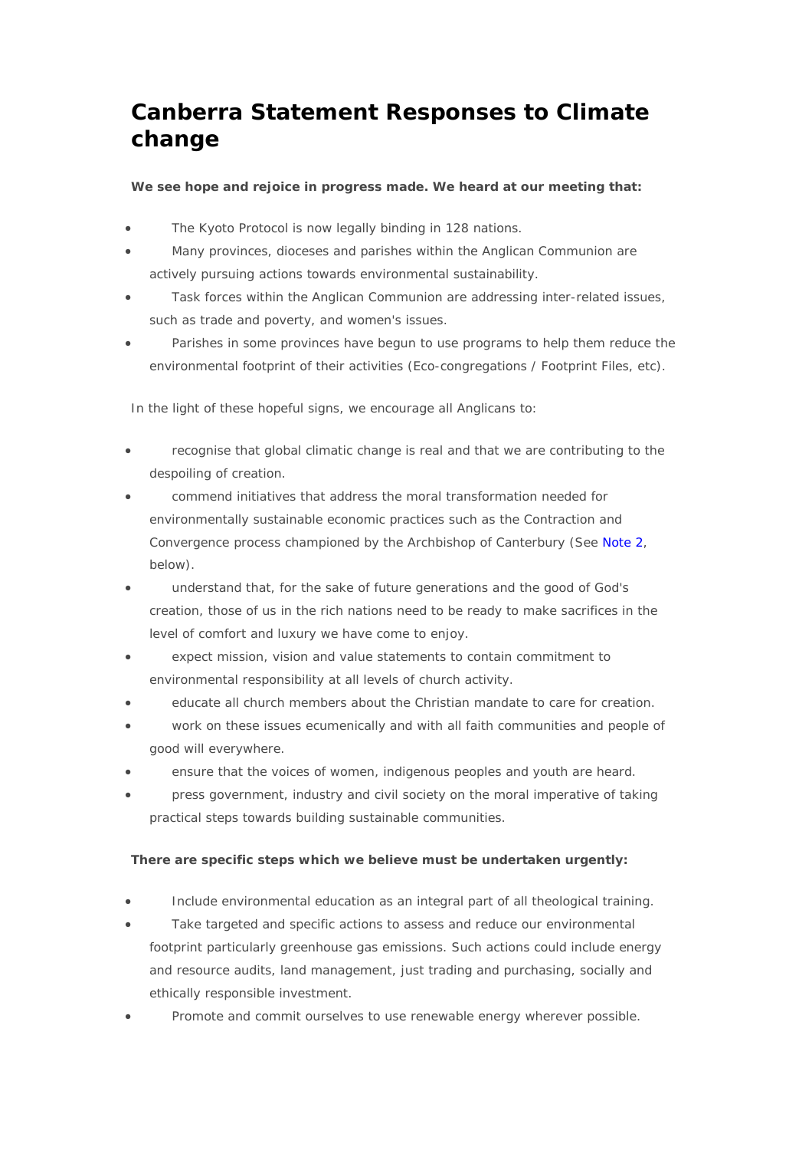## **Canberra Statement Responses to Climate change**

**We see hope and rejoice in progress made. We heard at our meeting that:**

- The Kyoto Protocol is now legally binding in 128 nations.
- Many provinces, dioceses and parishes within the Anglican Communion are actively pursuing actions towards environmental sustainability.
- Task forces within the Anglican Communion are addressing inter-related issues, such as trade and poverty, and women's issues.
- Parishes in some provinces have begun to use programs to help them reduce the environmental footprint of their activities (Eco-congregations / Footprint Files, etc).

In the light of these hopeful signs, we encourage all Anglicans to:

- recognise that global climatic change is real and that we are contributing to the despoiling of creation.
- commend initiatives that address the moral transformation needed for environmentally sustainable economic practices such as the Contraction and Convergence process championed by the Archbishop of Canterbury (See [Note 2](http://acen.anglicancommunion.org/reports/#note2), below).
- understand that, for the sake of future generations and the good of God's creation, those of us in the rich nations need to be ready to make sacrifices in the level of comfort and luxury we have come to enjoy.
- expect mission, vision and value statements to contain commitment to environmental responsibility at all levels of church activity.
- educate all church members about the Christian mandate to care for creation.
- work on these issues ecumenically and with all faith communities and people of good will everywhere.
- ensure that the voices of women, indigenous peoples and youth are heard.
- press government, industry and civil society on the moral imperative of taking practical steps towards building sustainable communities.

## **There are specific steps which we believe must be undertaken urgently:**

- Include environmental education as an integral part of all theological training.
- Take targeted and specific actions to assess and reduce our environmental footprint particularly greenhouse gas emissions. Such actions could include energy and resource audits, land management, just trading and purchasing, socially and ethically responsible investment.
- Promote and commit ourselves to use renewable energy wherever possible.